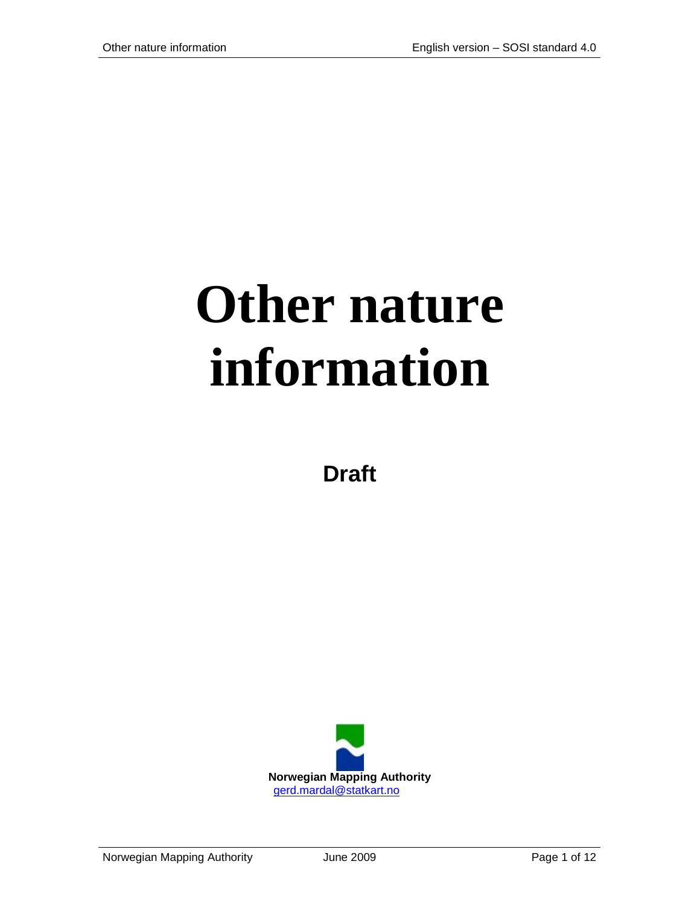# **Other nature information**

**Draft**

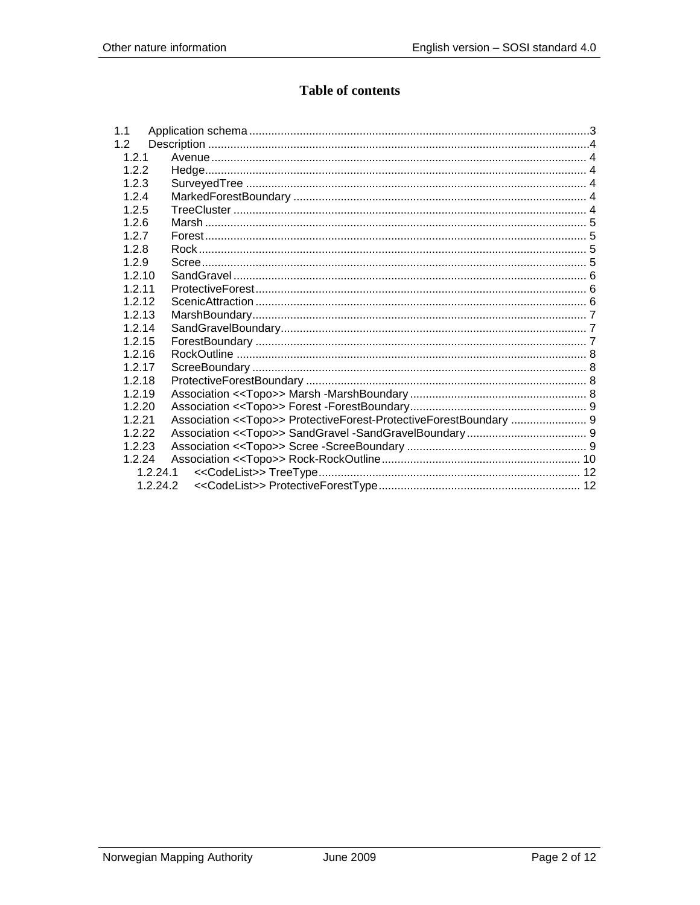# **Table of contents**

| 1.1      |                                                                    |
|----------|--------------------------------------------------------------------|
| 1.2      |                                                                    |
| 1.2.1    |                                                                    |
| 1.2.2    |                                                                    |
| 1.2.3    |                                                                    |
| 1.2.4    |                                                                    |
| 1.2.5    |                                                                    |
| 1.2.6    |                                                                    |
| 1.2.7    |                                                                    |
| 1.2.8    |                                                                    |
| 1.2.9    |                                                                    |
| 1.2.10   |                                                                    |
| 1.2.11   |                                                                    |
| 1.2.12   |                                                                    |
| 1.2.13   |                                                                    |
| 1.2.14   |                                                                    |
| 1.2.15   |                                                                    |
| 1.2.16   |                                                                    |
| 1.2.17   |                                                                    |
| 1.2.18   |                                                                    |
| 1.2.19   |                                                                    |
| 1.2.20   |                                                                    |
| 1.2.21   | Association << Topo>> ProtectiveForest-ProtectiveForestBoundary  9 |
| 1222     |                                                                    |
| 1.2.23   |                                                                    |
| 1.2.24   |                                                                    |
| 1.2.24.1 |                                                                    |
| 1.2.24.2 |                                                                    |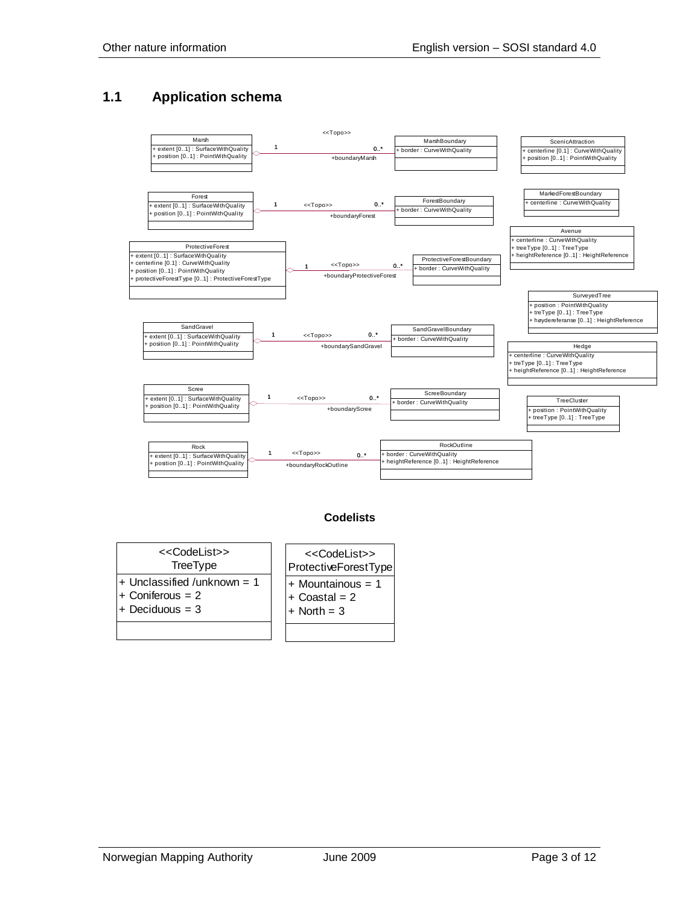### <span id="page-2-0"></span>**1.1 Application schema**



#### **Codelists**

| < <codelist>&gt;</codelist>   | < <codelist>&gt;</codelist> |
|-------------------------------|-----------------------------|
| TreeType                      | ProtectiveForestType        |
| $+$ Unclassified /unknown = 1 | $+$ Mountainous = 1         |
| $+$ Coniferous = 2            | $+$ Coastal = 2             |
| $+$ Deciduous = 3             | $+$ North = 3               |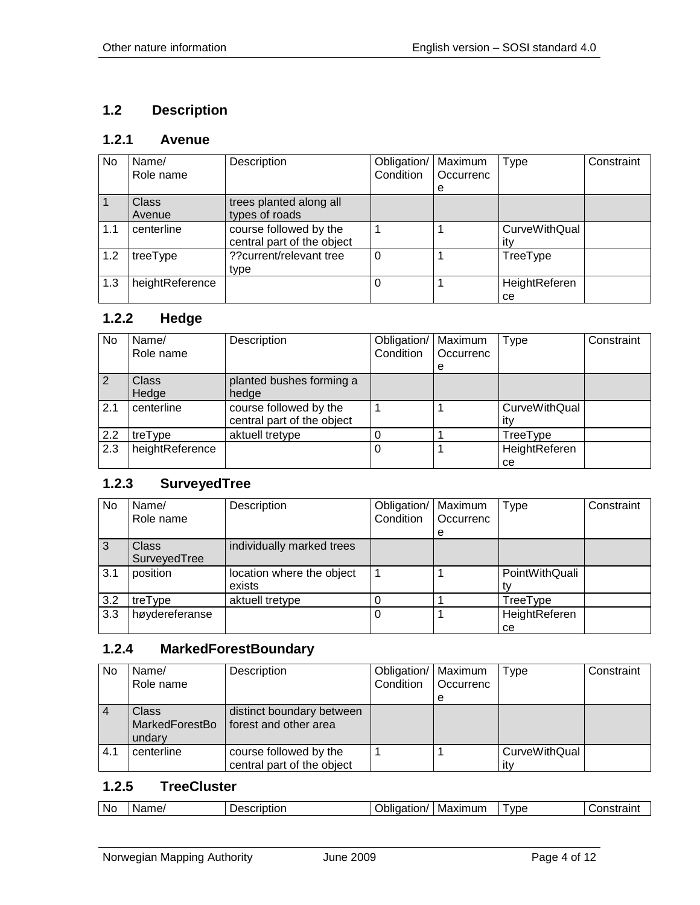# <span id="page-3-0"></span>**1.2 Description**

# <span id="page-3-1"></span>**1.2.1 Avenue**

| No. | Name/<br>Role name     | Description                                          | Obligation/<br>Condition | Maximum<br>Occurrenc | <b>Type</b>                 | Constraint |
|-----|------------------------|------------------------------------------------------|--------------------------|----------------------|-----------------------------|------------|
|     |                        |                                                      |                          | е                    |                             |            |
|     | <b>Class</b><br>Avenue | trees planted along all<br>types of roads            |                          |                      |                             |            |
| 1.1 | centerline             | course followed by the<br>central part of the object |                          |                      | <b>CurveWithQual</b><br>itv |            |
| 1.2 | treeType               | ?? current/relevant tree<br>type                     | $\Omega$                 |                      | TreeType                    |            |
| 1.3 | heightReference        |                                                      |                          |                      | HeightReferen<br>ce         |            |

#### <span id="page-3-2"></span>**1.2.2 Hedge**

| No  | Name/<br>Role name    | Description                                          | Obligation/<br>Condition | Maximum<br>Occurrenc<br>е | <b>Type</b>                 | Constraint |
|-----|-----------------------|------------------------------------------------------|--------------------------|---------------------------|-----------------------------|------------|
| 2   | <b>Class</b><br>Hedge | planted bushes forming a<br>hedge                    |                          |                           |                             |            |
| 2.1 | centerline            | course followed by the<br>central part of the object |                          |                           | <b>CurveWithQual</b><br>itv |            |
| 2.2 | treType               | aktuell tretype                                      |                          |                           | TreeType                    |            |
| 2.3 | heightReference       |                                                      |                          |                           | HeightReferen<br>ce         |            |

#### <span id="page-3-3"></span>**1.2.3 SurveyedTree**

| No             | Name/<br>Role name | Description               | Obligation/   Maximum<br>Condition | Occurrenc | Type           | Constraint |
|----------------|--------------------|---------------------------|------------------------------------|-----------|----------------|------------|
|                |                    |                           |                                    | е         |                |            |
| $\overline{3}$ | Class              | individually marked trees |                                    |           |                |            |
|                | SurveyedTree       |                           |                                    |           |                |            |
| 3.1            | position           | location where the object |                                    |           | PointWithQuali |            |
|                |                    | exists                    |                                    |           |                |            |
| 3.2            | treType            | aktuell tretype           |                                    |           | TreeType       |            |
| 3.3            | høydereferanse     |                           |                                    |           | HeightReferen  |            |
|                |                    |                           |                                    |           | ce             |            |

# <span id="page-3-4"></span>**1.2.4 MarkedForestBoundary**

| No             | Name/                                    | Description                                          | Obligation/   Maximum |           | Type                        | Constraint |
|----------------|------------------------------------------|------------------------------------------------------|-----------------------|-----------|-----------------------------|------------|
|                | Role name                                |                                                      | Condition             | Occurrenc |                             |            |
|                |                                          |                                                      |                       | е         |                             |            |
| $\overline{4}$ | <b>Class</b><br>MarkedForestBo<br>undary | distinct boundary between<br>forest and other area   |                       |           |                             |            |
| 4.1            | centerline                               | course followed by the<br>central part of the object |                       |           | <b>CurveWithQual</b><br>itv |            |

#### <span id="page-3-5"></span>**1.2.5 TreeCluster**

| .<br>Nc<br>Maximum<br>Name/<br><b>VDE</b><br>$-$<br>scription<br>.<br>៶៲<br>.<br>بدر<br>эноаг<br>JOHZ.<br>. ав.<br><b>1.51</b> |
|--------------------------------------------------------------------------------------------------------------------------------|
|--------------------------------------------------------------------------------------------------------------------------------|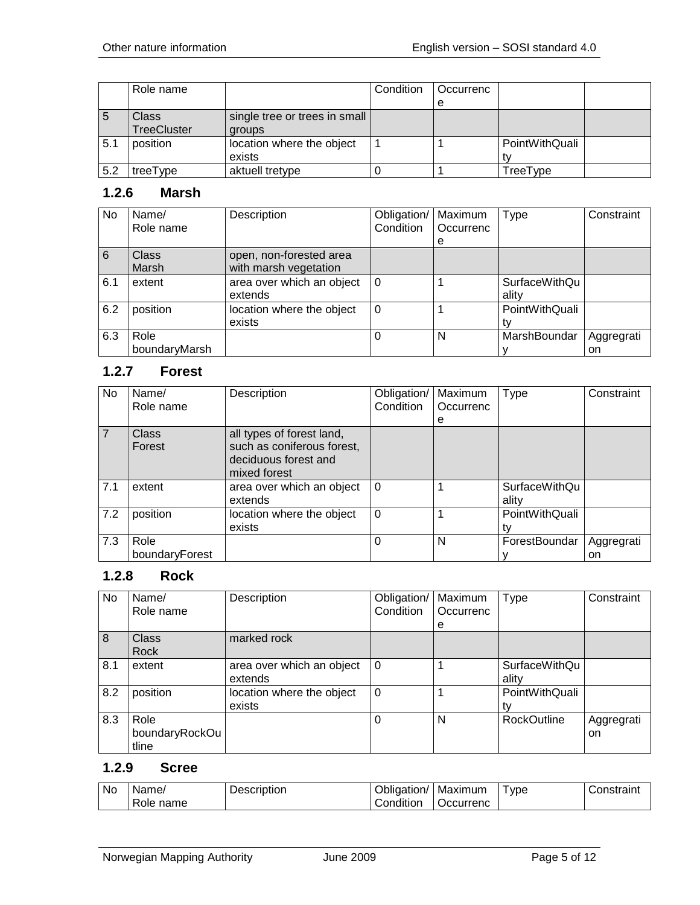|     | Role name          |                               | Condition | l Occurrenc |                |  |
|-----|--------------------|-------------------------------|-----------|-------------|----------------|--|
|     |                    |                               |           |             |                |  |
| C   | Class              | single tree or trees in small |           |             |                |  |
|     | <b>TreeCluster</b> | groups                        |           |             |                |  |
| 5.1 | position           | location where the object     |           |             | PointWithQuali |  |
|     |                    | exists                        |           |             |                |  |
| 5.2 | treeType           | aktuell tretype               |           |             | TreeType       |  |

#### <span id="page-4-0"></span>**1.2.6 Marsh**

| No. | Name/<br>Role name    | Description                                      | Obligation/<br>Condition | Maximum<br>Occurrenc<br>е | <b>Type</b>                   | Constraint       |
|-----|-----------------------|--------------------------------------------------|--------------------------|---------------------------|-------------------------------|------------------|
| 6   | Class<br>Marsh        | open, non-forested area<br>with marsh vegetation |                          |                           |                               |                  |
| 6.1 | extent                | area over which an object<br>extends             | . 0                      |                           | <b>SurfaceWithQu</b><br>ality |                  |
| 6.2 | position              | location where the object<br>exists              | $\Omega$                 |                           | PointWithQuali                |                  |
| 6.3 | Role<br>boundaryMarsh |                                                  |                          | N                         | MarshBoundar                  | Aggregrati<br>on |

### <span id="page-4-1"></span>**1.2.7 Forest**

| No             | Name/                  | Description                                                                                     | Obligation/ | Maximum   | <b>Type</b>                   | Constraint |
|----------------|------------------------|-------------------------------------------------------------------------------------------------|-------------|-----------|-------------------------------|------------|
|                | Role name              |                                                                                                 | Condition   | Occurrenc |                               |            |
|                |                        |                                                                                                 |             | е         |                               |            |
| $\overline{7}$ | <b>Class</b><br>Forest | all types of forest land,<br>such as coniferous forest,<br>deciduous forest and<br>mixed forest |             |           |                               |            |
| 7.1            | extent                 | area over which an object<br>extends                                                            | $\Omega$    |           | <b>SurfaceWithQu</b><br>ality |            |
| 7.2            | position               | location where the object<br>exists                                                             | $\Omega$    |           | PointWithQuali<br>tv          |            |
| 7.3            | Role                   |                                                                                                 | 0           | N         | ForestBoundar                 | Aggregrati |
|                | boundaryForest         |                                                                                                 |             |           |                               | on         |

#### <span id="page-4-2"></span>**1.2.8 Rock**

| <b>No</b>      | Name/<br>Role name              | Description                          | Obligation/<br>Condition | Maximum<br>Occurrenc<br>e | <b>Type</b>            | Constraint       |
|----------------|---------------------------------|--------------------------------------|--------------------------|---------------------------|------------------------|------------------|
| $\overline{8}$ | Class<br>Rock                   | marked rock                          |                          |                           |                        |                  |
| 8.1            | extent                          | area over which an object<br>extends | $\Omega$                 |                           | SurfaceWithQu<br>ality |                  |
| 8.2            | position                        | location where the object<br>exists  | $\mathbf 0$              |                           | PointWithQuali         |                  |
| 8.3            | Role<br>boundaryRockOu<br>tline |                                      | $\Omega$                 | N                         | <b>RockOutline</b>     | Aggregrati<br>on |

#### <span id="page-4-3"></span>**1.2.9 Scree**

| <b>No</b> | Name/        | Description | Obligation/ | Maximum          | I ype | Constraint |
|-----------|--------------|-------------|-------------|------------------|-------|------------|
|           | Role<br>name |             | じondition   | <b>Occurrenc</b> |       |            |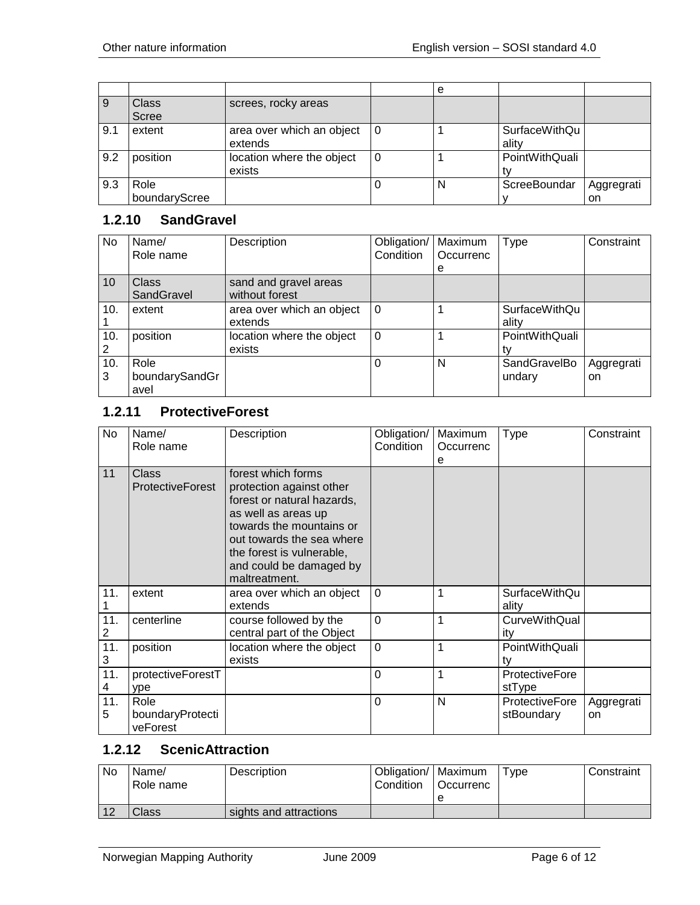|     |                       |                                      |     | е |                        |                  |
|-----|-----------------------|--------------------------------------|-----|---|------------------------|------------------|
| 9   | Class<br><b>Scree</b> | screes, rocky areas                  |     |   |                        |                  |
| 9.1 | extent                | area over which an object<br>extends | l 0 |   | SurfaceWithQu<br>ality |                  |
| 9.2 | position              | location where the object<br>exists  |     |   | PointWithQuali         |                  |
| 9.3 | Role<br>boundaryScree |                                      |     | N | ScreeBoundar           | Aggregrati<br>on |

#### <span id="page-5-0"></span>**1.2.10 SandGravel**

| No  | Name/          | Description               | Obligation/ | Maximum   | Type           | Constraint |
|-----|----------------|---------------------------|-------------|-----------|----------------|------------|
|     | Role name      |                           | Condition   | Occurrenc |                |            |
|     |                |                           |             | e         |                |            |
| 10  | <b>Class</b>   | sand and gravel areas     |             |           |                |            |
|     | SandGravel     | without forest            |             |           |                |            |
| 10. | extent         | area over which an object | $\Omega$    |           | SurfaceWithQu  |            |
|     |                | extends                   |             |           | ality          |            |
| 10. | position       | location where the object | $\Omega$    |           | PointWithQuali |            |
| 2   |                | exists                    |             |           |                |            |
| 10. | Role           |                           | $\Omega$    | N         | SandGravelBo   | Aggregrati |
| 3   | boundarySandGr |                           |             |           | undary         | on         |
|     | avel           |                           |             |           |                |            |

#### <span id="page-5-1"></span>**1.2.11 ProtectiveForest**

| No       | Name/<br>Role name                   | Description                                                                                                                                                                                                                           | Obligation/<br>Condition | Maximum<br>Occurrenc<br>е | Type                            | Constraint       |
|----------|--------------------------------------|---------------------------------------------------------------------------------------------------------------------------------------------------------------------------------------------------------------------------------------|--------------------------|---------------------------|---------------------------------|------------------|
| 11       | Class<br><b>ProtectiveForest</b>     | forest which forms<br>protection against other<br>forest or natural hazards,<br>as well as areas up<br>towards the mountains or<br>out towards the sea where<br>the forest is vulnerable,<br>and could be damaged by<br>maltreatment. |                          |                           |                                 |                  |
| 11.      | extent                               | area over which an object<br>extends                                                                                                                                                                                                  | $\Omega$                 | 1                         | <b>SurfaceWithQu</b><br>ality   |                  |
| 11.<br>2 | centerline                           | course followed by the<br>central part of the Object                                                                                                                                                                                  | $\Omega$                 | 1                         | <b>CurveWithQual</b><br>ity     |                  |
| 11.<br>3 | position                             | location where the object<br>exists                                                                                                                                                                                                   | $\mathbf 0$              | 1                         | PointWithQuali<br>tv            |                  |
| 11.<br>4 | protectiveForestT<br>ype             |                                                                                                                                                                                                                                       | $\Omega$                 | 1                         | <b>ProtectiveFore</b><br>stType |                  |
| 11.<br>5 | Role<br>boundaryProtecti<br>veForest |                                                                                                                                                                                                                                       | $\Omega$                 | N                         | ProtectiveFore<br>stBoundary    | Aggregrati<br>on |

#### <span id="page-5-2"></span>**1.2.12 ScenicAttraction**

| No | Name/<br>Role name | Description            | Obligation/   Maximum<br>l Condition | <b>Occurrenc</b> | Type | Constraint |
|----|--------------------|------------------------|--------------------------------------|------------------|------|------------|
|    |                    |                        |                                      |                  |      |            |
| 12 | Class              | sights and attractions |                                      |                  |      |            |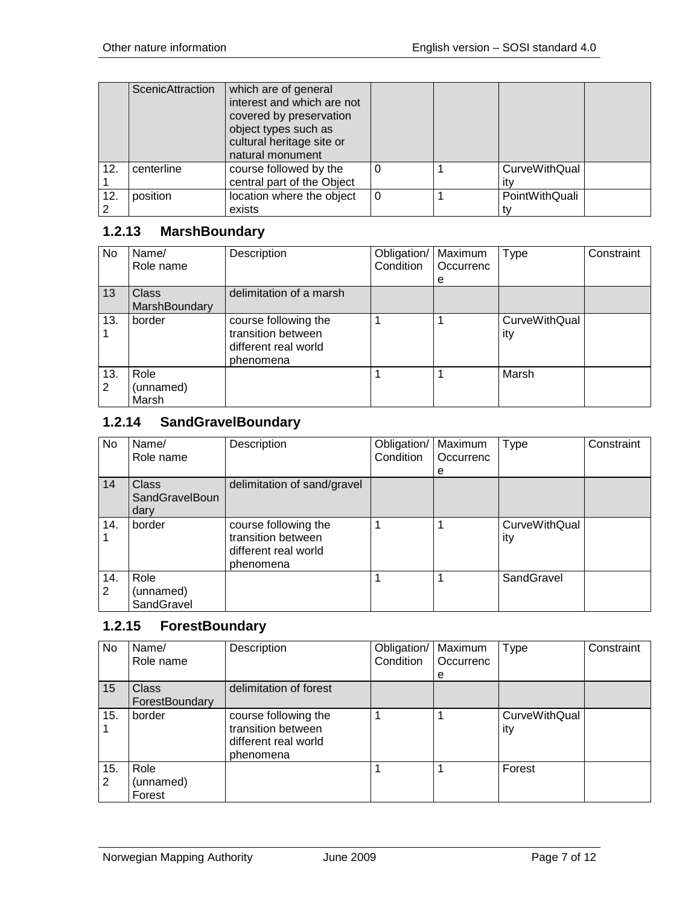|     | ScenicAttraction | which are of general<br>interest and which are not<br>covered by preservation<br>object types such as<br>cultural heritage site or<br>natural monument |  |                |  |
|-----|------------------|--------------------------------------------------------------------------------------------------------------------------------------------------------|--|----------------|--|
| 12. | centerline       | course followed by the                                                                                                                                 |  | CurveWithQual  |  |
|     |                  | central part of the Object                                                                                                                             |  |                |  |
| 12. | position         | location where the object                                                                                                                              |  | PointWithQuali |  |
|     |                  | exists                                                                                                                                                 |  |                |  |

#### <span id="page-6-0"></span>**1.2.13 MarshBoundary**

| No       | Name/<br>Role name            | Description                                                                     | Obligation/<br>Condition | Maximum<br>Occurrenc<br>e | Type                        | Constraint |
|----------|-------------------------------|---------------------------------------------------------------------------------|--------------------------|---------------------------|-----------------------------|------------|
| 13       | <b>Class</b><br>MarshBoundary | delimitation of a marsh                                                         |                          |                           |                             |            |
| 13.      | border                        | course following the<br>transition between<br>different real world<br>phenomena |                          |                           | <b>CurveWithQual</b><br>ity |            |
| 13.<br>2 | Role<br>(unnamed)<br>Marsh    |                                                                                 |                          |                           | Marsh                       |            |

#### <span id="page-6-1"></span>**1.2.14 SandGravelBoundary**

| No       | Name/<br>Role name                            | Description                                                                     | Obligation/<br>Condition | Maximum<br>Occurrenc | <b>Type</b>                 | Constraint |
|----------|-----------------------------------------------|---------------------------------------------------------------------------------|--------------------------|----------------------|-----------------------------|------------|
| 14       | <b>Class</b><br><b>SandGravelBoun</b><br>dary | delimitation of sand/gravel                                                     |                          | е                    |                             |            |
| 14.      | border                                        | course following the<br>transition between<br>different real world<br>phenomena |                          |                      | <b>CurveWithQual</b><br>ity |            |
| 14.<br>2 | Role<br>(unnamed)<br>SandGravel               |                                                                                 |                          |                      | SandGravel                  |            |

#### <span id="page-6-2"></span>**1.2.15 ForestBoundary**

| No       | Name/<br>Role name             | Description                                                                     | Obligation/<br>Condition | Maximum<br>Occurrenc | <b>Type</b>                 | Constraint |
|----------|--------------------------------|---------------------------------------------------------------------------------|--------------------------|----------------------|-----------------------------|------------|
|          |                                |                                                                                 |                          | e                    |                             |            |
| 15       | <b>Class</b><br>ForestBoundary | delimitation of forest                                                          |                          |                      |                             |            |
| 15.      | border                         | course following the<br>transition between<br>different real world<br>phenomena |                          |                      | <b>CurveWithQual</b><br>ity |            |
| 15.<br>2 | Role<br>(unnamed)<br>Forest    |                                                                                 |                          |                      | Forest                      |            |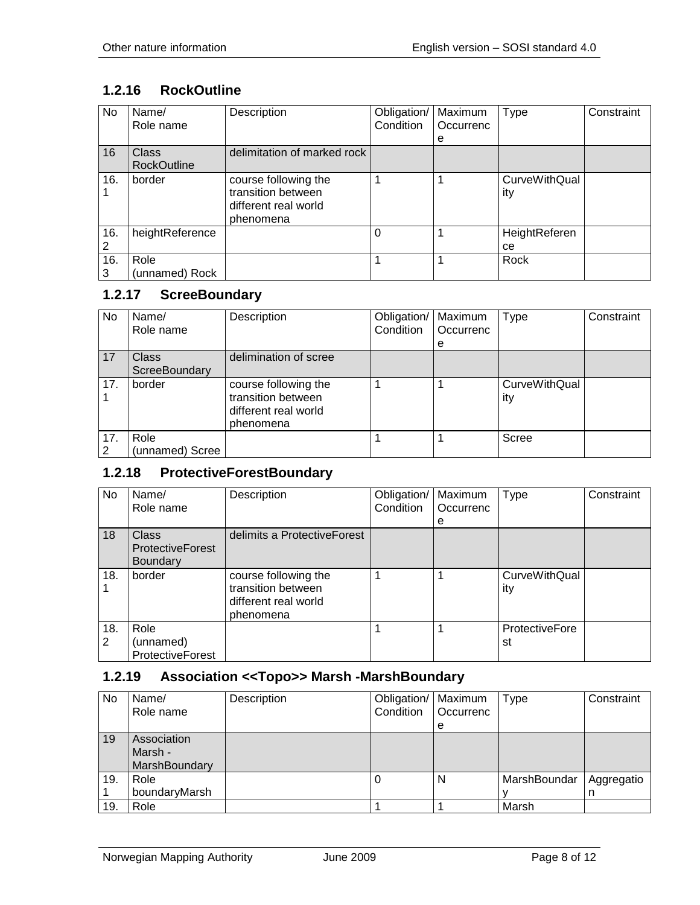# <span id="page-7-0"></span>**1.2.16 RockOutline**

| No  | Name/<br>Role name | Description                 | Obligation/<br>Condition | Maximum<br>Occurrenc | <b>Type</b>          | Constraint |
|-----|--------------------|-----------------------------|--------------------------|----------------------|----------------------|------------|
|     |                    |                             |                          | е                    |                      |            |
| 16  | <b>Class</b>       | delimitation of marked rock |                          |                      |                      |            |
|     | <b>RockOutline</b> |                             |                          |                      |                      |            |
| 16. | border             | course following the        |                          |                      | <b>CurveWithQual</b> |            |
|     |                    | transition between          |                          |                      | ity                  |            |
|     |                    | different real world        |                          |                      |                      |            |
|     |                    | phenomena                   |                          |                      |                      |            |
| 16. | heightReference    |                             | 0                        |                      | HeightReferen        |            |
|     |                    |                             |                          |                      | ce                   |            |
| 16. | Role               |                             |                          |                      | Rock                 |            |
| 3   | (unnamed) Rock     |                             |                          |                      |                      |            |

#### <span id="page-7-1"></span>**1.2.17 ScreeBoundary**

| No.      | Name/<br>Role name            | Description                                                                     | Obligation/<br>Condition | Maximum<br>Occurrenc<br>e | <b>Type</b>                 | Constraint |
|----------|-------------------------------|---------------------------------------------------------------------------------|--------------------------|---------------------------|-----------------------------|------------|
| 17       | <b>Class</b><br>ScreeBoundary | delimination of scree                                                           |                          |                           |                             |            |
| 17.      | border                        | course following the<br>transition between<br>different real world<br>phenomena |                          |                           | <b>CurveWithQual</b><br>ity |            |
| 17.<br>2 | Role<br>(unnamed) Scree       |                                                                                 |                          |                           | Scree                       |            |

#### <span id="page-7-2"></span>**1.2.18 ProtectiveForestBoundary**

| No.      | Name/<br>Role name                                         | Description                                                                     | Obligation/<br>Condition | Maximum<br>Occurrenc | <b>Type</b>                 | Constraint |
|----------|------------------------------------------------------------|---------------------------------------------------------------------------------|--------------------------|----------------------|-----------------------------|------------|
| 18       | <b>Class</b><br><b>ProtectiveForest</b><br><b>Boundary</b> | delimits a ProtectiveForest                                                     |                          | е                    |                             |            |
| 18.      | border                                                     | course following the<br>transition between<br>different real world<br>phenomena |                          |                      | <b>CurveWithQual</b><br>ity |            |
| 18.<br>2 | Role<br>(unnamed)<br><b>ProtectiveForest</b>               |                                                                                 |                          |                      | <b>ProtectiveFore</b><br>st |            |

#### <span id="page-7-3"></span>**1.2.19 Association <<Topo>> Marsh -MarshBoundary**

| No  | Name/<br>Role name                      | Description | Obligation/   Maximum<br>Condition | Occurrenc<br>е | <b>Type</b>  | Constraint      |
|-----|-----------------------------------------|-------------|------------------------------------|----------------|--------------|-----------------|
| 19  | Association<br>Marsh -<br>MarshBoundary |             |                                    |                |              |                 |
| 19. | Role<br>boundaryMarsh                   |             |                                    | N              | MarshBoundar | Aggregatio<br>n |
| 19. | Role                                    |             |                                    |                | Marsh        |                 |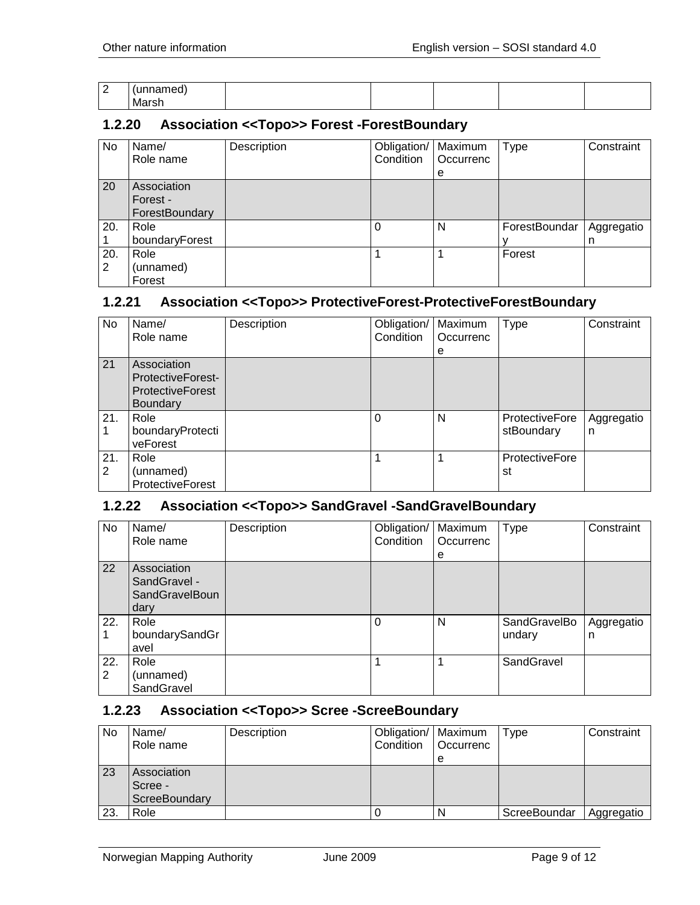| ∽<br>- | ___  |  |  |  |
|--------|------|--|--|--|
|        | Mars |  |  |  |

#### <span id="page-8-0"></span>**1.2.20 Association <<Topo>> Forest -ForestBoundary**

| No       | Name/<br>Role name                        | Description | Obligation/<br>Condition | Maximum<br>Occurrenc<br>е | <b>Type</b>   | Constraint      |
|----------|-------------------------------------------|-------------|--------------------------|---------------------------|---------------|-----------------|
| 20       | Association<br>Forest -<br>ForestBoundary |             |                          |                           |               |                 |
| 20.      | Role<br>boundaryForest                    |             |                          | N                         | ForestBoundar | Aggregatio<br>n |
| 20.<br>2 | Role<br>(unnamed)<br>Forest               |             |                          |                           | Forest        |                 |

#### <span id="page-8-1"></span>**1.2.21 Association <<Topo>> ProtectiveForest-ProtectiveForestBoundary**

| No.      | Name/<br>Role name                                                                    | Description | Obligation/<br>Condition | Maximum<br>Occurrenc<br>е | <b>Type</b>                         | Constraint      |
|----------|---------------------------------------------------------------------------------------|-------------|--------------------------|---------------------------|-------------------------------------|-----------------|
| 21       | Association<br><b>ProtectiveForest-</b><br><b>ProtectiveForest</b><br><b>Boundary</b> |             |                          |                           |                                     |                 |
| 21.      | Role<br>boundaryProtecti<br>veForest                                                  |             | 0                        | N                         | <b>ProtectiveFore</b><br>stBoundary | Aggregatio<br>n |
| 21.<br>2 | Role<br>(unnamed)<br><b>ProtectiveForest</b>                                          |             |                          |                           | <b>ProtectiveFore</b><br>st         |                 |

#### <span id="page-8-2"></span>**1.2.22 Association <<Topo>> SandGravel -SandGravelBoundary**

| No       | Name/<br>Role name                                    | Description | Obligation/<br>Condition | Maximum<br>Occurrenc<br>е | Type                   | Constraint      |
|----------|-------------------------------------------------------|-------------|--------------------------|---------------------------|------------------------|-----------------|
| 22       | Association<br>SandGravel -<br>SandGravelBoun<br>dary |             |                          |                           |                        |                 |
| 22.      | Role<br>boundarySandGr<br>avel                        |             | 0                        | N                         | SandGravelBo<br>undary | Aggregatio<br>n |
| 22.<br>2 | Role<br>(unnamed)<br>SandGravel                       |             |                          |                           | SandGravel             |                 |

#### <span id="page-8-3"></span>**1.2.23 Association <<Topo>> Scree -ScreeBoundary**

| No  | Name/<br>Role name                      | Description | Obligation/   Maximum<br>Condition | <b>Occurrenc</b><br>е | Type         | Constraint |
|-----|-----------------------------------------|-------------|------------------------------------|-----------------------|--------------|------------|
| 23  | Association<br>Scree -<br>ScreeBoundary |             |                                    |                       |              |            |
| 23. | Role                                    |             |                                    |                       | ScreeBoundar | Aggregatio |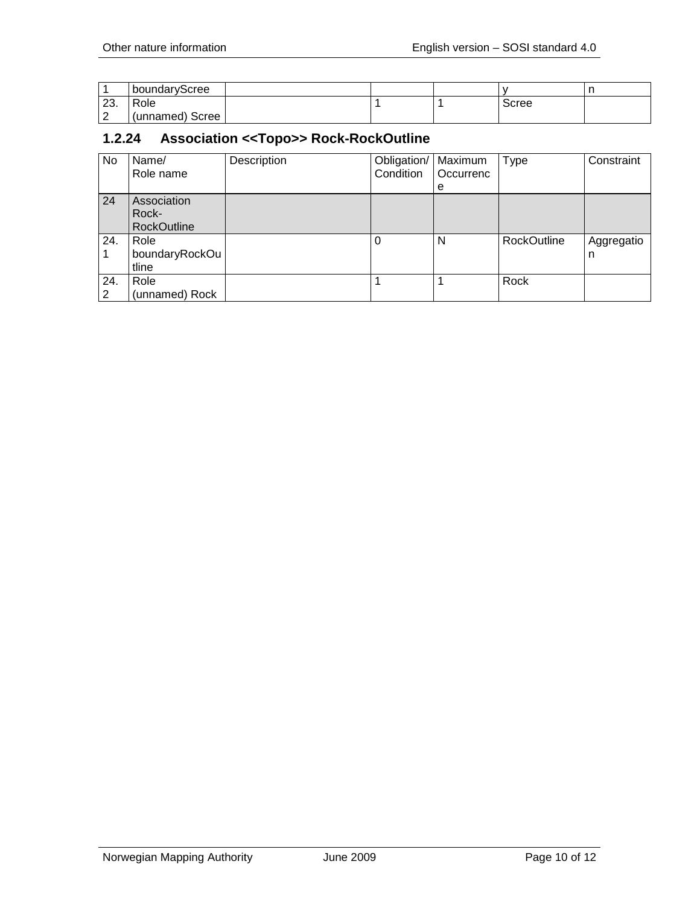|               | boundaryScree   |  |       |  |
|---------------|-----------------|--|-------|--|
| ററ<br>.ت      | Role            |  | Scree |  |
| Ð<br><u>_</u> | (unnamed) Scree |  |       |  |

# <span id="page-9-0"></span>**1.2.24 Association <<Topo>> Rock-RockOutline**

| No       | Name/<br>Role name                         | Description | Obligation/   Maximum<br>Condition | l Occurrenc<br>e | <b>Type</b>        | Constraint      |
|----------|--------------------------------------------|-------------|------------------------------------|------------------|--------------------|-----------------|
| 24       | Association<br>Rock-<br><b>RockOutline</b> |             |                                    |                  |                    |                 |
| 24.      | Role<br>boundaryRockOu<br>tline            |             | $\Omega$                           | N                | <b>RockOutline</b> | Aggregatio<br>n |
| 24.<br>2 | Role<br>(unnamed) Rock                     |             |                                    |                  | Rock               |                 |